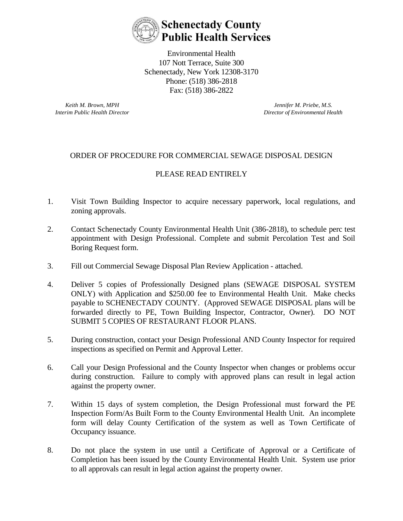

Environmental Health 107 Nott Terrace, Suite 300 Schenectady, New York 12308-3170 Phone: (518) 386-2818 Fax: (518) 386-2822

*Keith M. Brown, MPH Interim Public Health Director*

*Jennifer M. Priebe, M.S. Director of Environmental Health*

## ORDER OF PROCEDURE FOR COMMERCIAL SEWAGE DISPOSAL DESIGN

## PLEASE READ ENTIRELY

- 1. Visit Town Building Inspector to acquire necessary paperwork, local regulations, and zoning approvals.
- 2. Contact Schenectady County Environmental Health Unit (386-2818), to schedule perc test appointment with Design Professional. Complete and submit Percolation Test and Soil Boring Request form.
- 3. Fill out Commercial Sewage Disposal Plan Review Application attached.
- 4. Deliver 5 copies of Professionally Designed plans (SEWAGE DISPOSAL SYSTEM ONLY) with Application and \$250.00 fee to Environmental Health Unit. Make checks payable to SCHENECTADY COUNTY. (Approved SEWAGE DISPOSAL plans will be forwarded directly to PE, Town Building Inspector, Contractor, Owner). DO NOT SUBMIT 5 COPIES OF RESTAURANT FLOOR PLANS.
- 5. During construction, contact your Design Professional AND County Inspector for required inspections as specified on Permit and Approval Letter.
- 6. Call your Design Professional and the County Inspector when changes or problems occur during construction. Failure to comply with approved plans can result in legal action against the property owner.
- 7. Within 15 days of system completion, the Design Professional must forward the PE Inspection Form/As Built Form to the County Environmental Health Unit. An incomplete form will delay County Certification of the system as well as Town Certificate of Occupancy issuance.
- 8. Do not place the system in use until a Certificate of Approval or a Certificate of Completion has been issued by the County Environmental Health Unit. System use prior to all approvals can result in legal action against the property owner.